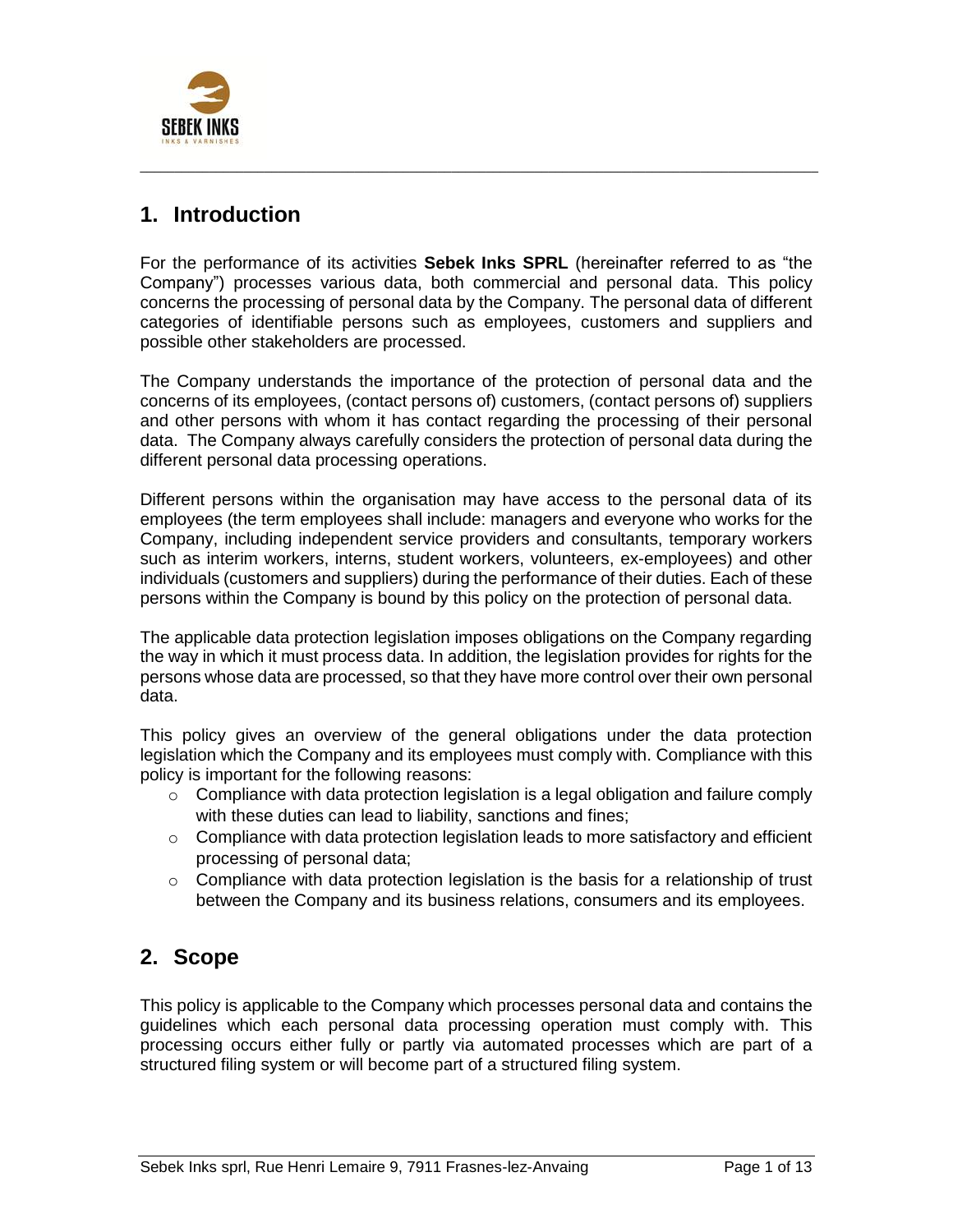

## **1. Introduction**

For the performance of its activities **Sebek Inks SPRL** (hereinafter referred to as "the Company") processes various data, both commercial and personal data. This policy concerns the processing of personal data by the Company. The personal data of different categories of identifiable persons such as employees, customers and suppliers and possible other stakeholders are processed.

 $\_$  ,  $\_$  ,  $\_$  ,  $\_$  ,  $\_$  ,  $\_$  ,  $\_$  ,  $\_$  ,  $\_$  ,  $\_$  ,  $\_$  ,  $\_$  ,  $\_$  ,  $\_$  ,  $\_$  ,  $\_$  ,  $\_$  ,  $\_$  ,  $\_$  ,  $\_$  ,  $\_$  ,  $\_$  ,  $\_$  ,  $\_$  ,  $\_$  ,  $\_$  ,  $\_$  ,  $\_$  ,  $\_$  ,  $\_$  ,  $\_$  ,  $\_$  ,  $\_$  ,  $\_$  ,  $\_$  ,  $\_$  ,  $\_$  ,

The Company understands the importance of the protection of personal data and the concerns of its employees, (contact persons of) customers, (contact persons of) suppliers and other persons with whom it has contact regarding the processing of their personal data. The Company always carefully considers the protection of personal data during the different personal data processing operations.

Different persons within the organisation may have access to the personal data of its employees (the term employees shall include: managers and everyone who works for the Company, including independent service providers and consultants, temporary workers such as interim workers, interns, student workers, volunteers, ex-employees) and other individuals (customers and suppliers) during the performance of their duties. Each of these persons within the Company is bound by this policy on the protection of personal data.

The applicable data protection legislation imposes obligations on the Company regarding the way in which it must process data. In addition, the legislation provides for rights for the persons whose data are processed, so that they have more control over their own personal data.

This policy gives an overview of the general obligations under the data protection legislation which the Company and its employees must comply with. Compliance with this policy is important for the following reasons:

- $\circ$  Compliance with data protection legislation is a legal obligation and failure comply with these duties can lead to liability, sanctions and fines;
- $\circ$  Compliance with data protection legislation leads to more satisfactory and efficient processing of personal data;
- $\circ$  Compliance with data protection legislation is the basis for a relationship of trust between the Company and its business relations, consumers and its employees.

## **2. Scope**

This policy is applicable to the Company which processes personal data and contains the guidelines which each personal data processing operation must comply with. This processing occurs either fully or partly via automated processes which are part of a structured filing system or will become part of a structured filing system.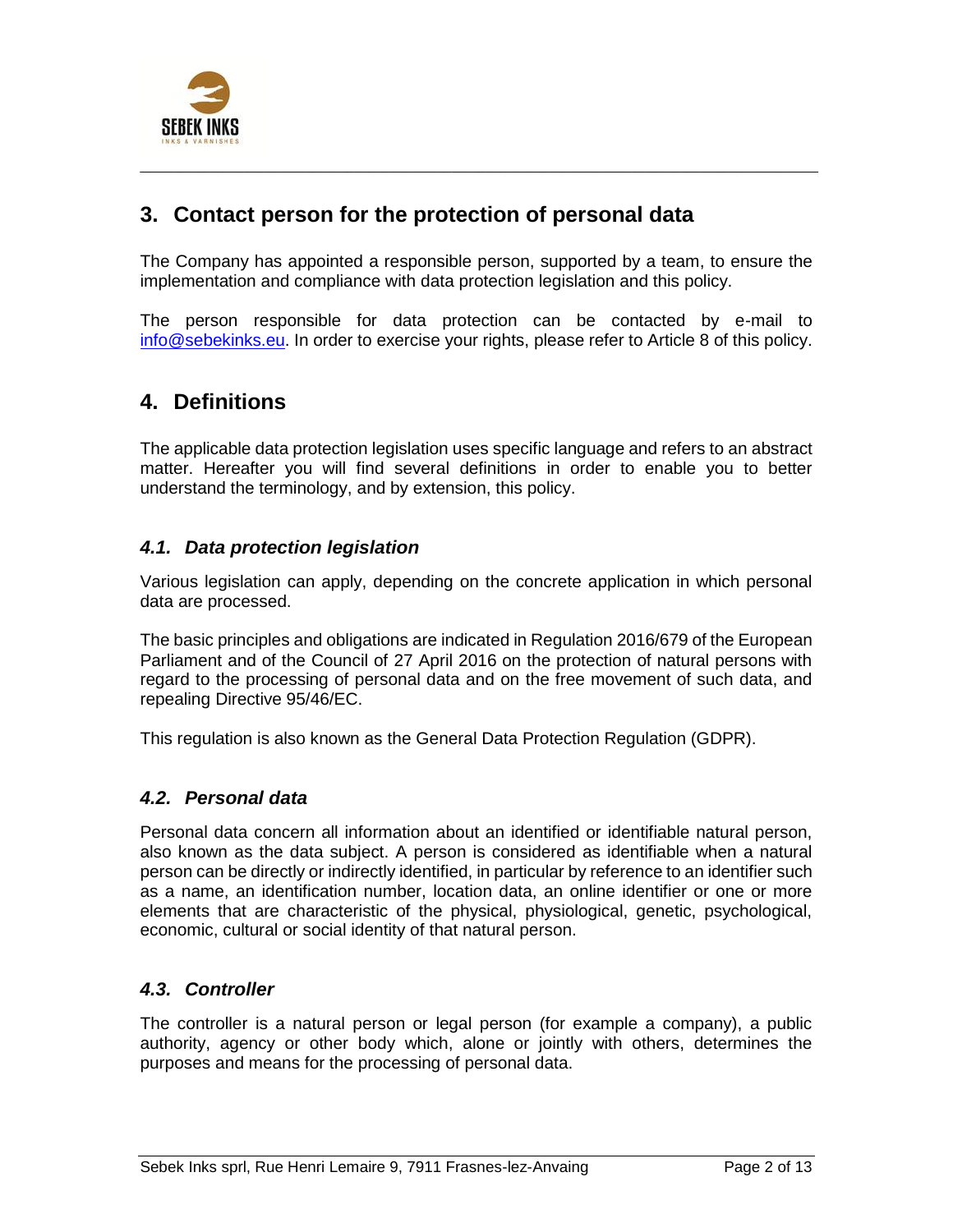

## **3. Contact person for the protection of personal data**

The Company has appointed a responsible person, supported by a team, to ensure the implementation and compliance with data protection legislation and this policy.

 $\_$  ,  $\_$  ,  $\_$  ,  $\_$  ,  $\_$  ,  $\_$  ,  $\_$  ,  $\_$  ,  $\_$  ,  $\_$  ,  $\_$  ,  $\_$  ,  $\_$  ,  $\_$  ,  $\_$  ,  $\_$  ,  $\_$  ,  $\_$  ,  $\_$  ,  $\_$  ,  $\_$  ,  $\_$  ,  $\_$  ,  $\_$  ,  $\_$  ,  $\_$  ,  $\_$  ,  $\_$  ,  $\_$  ,  $\_$  ,  $\_$  ,  $\_$  ,  $\_$  ,  $\_$  ,  $\_$  ,  $\_$  ,  $\_$  ,

The person responsible for data protection can be contacted by e-mail to [info@sebekinks.eu.](mailto:info@sebekinks.eu) In order to exercise your rights, please refer to Article 8 of this policy.

### **4. Definitions**

The applicable data protection legislation uses specific language and refers to an abstract matter. Hereafter you will find several definitions in order to enable you to better understand the terminology, and by extension, this policy.

### *4.1. Data protection legislation*

Various legislation can apply, depending on the concrete application in which personal data are processed.

The basic principles and obligations are indicated in Regulation 2016/679 of the European Parliament and of the Council of 27 April 2016 on the protection of natural persons with regard to the processing of personal data and on the free movement of such data, and repealing Directive 95/46/EC.

This regulation is also known as the General Data Protection Regulation (GDPR).

#### *4.2. Personal data*

Personal data concern all information about an identified or identifiable natural person, also known as the data subject. A person is considered as identifiable when a natural person can be directly or indirectly identified, in particular by reference to an identifier such as a name, an identification number, location data, an online identifier or one or more elements that are characteristic of the physical, physiological, genetic, psychological, economic, cultural or social identity of that natural person.

#### *4.3. Controller*

The controller is a natural person or legal person (for example a company), a public authority, agency or other body which, alone or jointly with others, determines the purposes and means for the processing of personal data.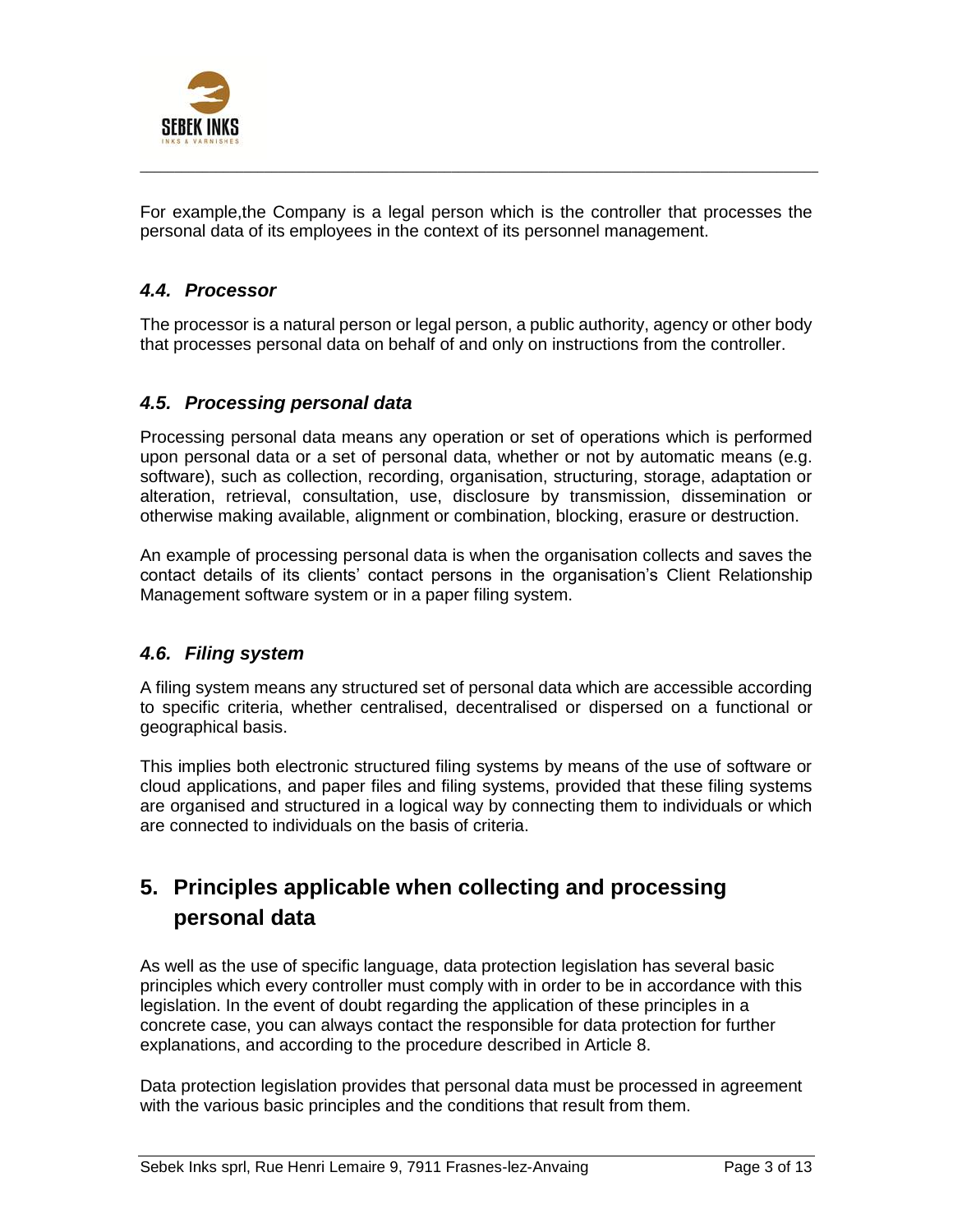

For example,the Company is a legal person which is the controller that processes the personal data of its employees in the context of its personnel management.

 $\_$  ,  $\_$  ,  $\_$  ,  $\_$  ,  $\_$  ,  $\_$  ,  $\_$  ,  $\_$  ,  $\_$  ,  $\_$  ,  $\_$  ,  $\_$  ,  $\_$  ,  $\_$  ,  $\_$  ,  $\_$  ,  $\_$  ,  $\_$  ,  $\_$  ,  $\_$  ,  $\_$  ,  $\_$  ,  $\_$  ,  $\_$  ,  $\_$  ,  $\_$  ,  $\_$  ,  $\_$  ,  $\_$  ,  $\_$  ,  $\_$  ,  $\_$  ,  $\_$  ,  $\_$  ,  $\_$  ,  $\_$  ,  $\_$  ,

### *4.4. Processor*

The processor is a natural person or legal person, a public authority, agency or other body that processes personal data on behalf of and only on instructions from the controller.

#### *4.5. Processing personal data*

Processing personal data means any operation or set of operations which is performed upon personal data or a set of personal data, whether or not by automatic means (e.g. software), such as collection, recording, organisation, structuring, storage, adaptation or alteration, retrieval, consultation, use, disclosure by transmission, dissemination or otherwise making available, alignment or combination, blocking, erasure or destruction.

An example of processing personal data is when the organisation collects and saves the contact details of its clients' contact persons in the organisation's Client Relationship Management software system or in a paper filing system.

### *4.6. Filing system*

A filing system means any structured set of personal data which are accessible according to specific criteria, whether centralised, decentralised or dispersed on a functional or geographical basis.

This implies both electronic structured filing systems by means of the use of software or cloud applications, and paper files and filing systems, provided that these filing systems are organised and structured in a logical way by connecting them to individuals or which are connected to individuals on the basis of criteria.

## **5. Principles applicable when collecting and processing personal data**

As well as the use of specific language, data protection legislation has several basic principles which every controller must comply with in order to be in accordance with this legislation. In the event of doubt regarding the application of these principles in a concrete case, you can always contact the responsible for data protection for further explanations, and according to the procedure described in Article 8.

Data protection legislation provides that personal data must be processed in agreement with the various basic principles and the conditions that result from them.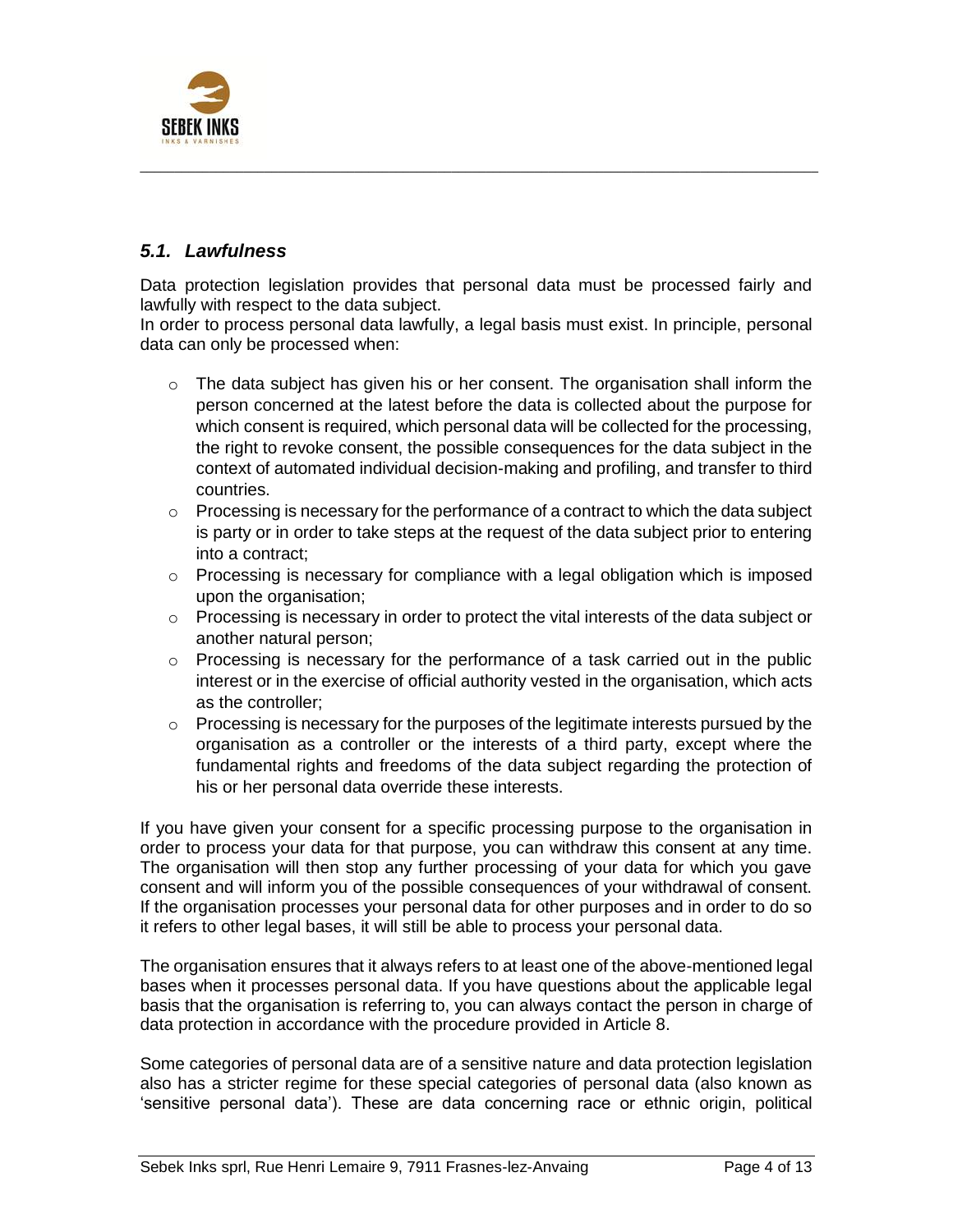

### *5.1. Lawfulness*

Data protection legislation provides that personal data must be processed fairly and lawfully with respect to the data subject.

 $\_$  ,  $\_$  ,  $\_$  ,  $\_$  ,  $\_$  ,  $\_$  ,  $\_$  ,  $\_$  ,  $\_$  ,  $\_$  ,  $\_$  ,  $\_$  ,  $\_$  ,  $\_$  ,  $\_$  ,  $\_$  ,  $\_$  ,  $\_$  ,  $\_$  ,  $\_$  ,  $\_$  ,  $\_$  ,  $\_$  ,  $\_$  ,  $\_$  ,  $\_$  ,  $\_$  ,  $\_$  ,  $\_$  ,  $\_$  ,  $\_$  ,  $\_$  ,  $\_$  ,  $\_$  ,  $\_$  ,  $\_$  ,  $\_$  ,

In order to process personal data lawfully, a legal basis must exist. In principle, personal data can only be processed when:

- $\circ$  The data subject has given his or her consent. The organisation shall inform the person concerned at the latest before the data is collected about the purpose for which consent is required, which personal data will be collected for the processing, the right to revoke consent, the possible consequences for the data subject in the context of automated individual decision-making and profiling, and transfer to third countries.
- o Processing is necessary for the performance of a contract to which the data subject is party or in order to take steps at the request of the data subject prior to entering into a contract;
- $\circ$  Processing is necessary for compliance with a legal obligation which is imposed upon the organisation;
- $\circ$  Processing is necessary in order to protect the vital interests of the data subject or another natural person;
- $\circ$  Processing is necessary for the performance of a task carried out in the public interest or in the exercise of official authority vested in the organisation, which acts as the controller;
- o Processing is necessary for the purposes of the legitimate interests pursued by the organisation as a controller or the interests of a third party, except where the fundamental rights and freedoms of the data subject regarding the protection of his or her personal data override these interests.

If you have given your consent for a specific processing purpose to the organisation in order to process your data for that purpose, you can withdraw this consent at any time. The organisation will then stop any further processing of your data for which you gave consent and will inform you of the possible consequences of your withdrawal of consent. If the organisation processes your personal data for other purposes and in order to do so it refers to other legal bases, it will still be able to process your personal data.

The organisation ensures that it always refers to at least one of the above-mentioned legal bases when it processes personal data. If you have questions about the applicable legal basis that the organisation is referring to, you can always contact the person in charge of data protection in accordance with the procedure provided in Article 8.

Some categories of personal data are of a sensitive nature and data protection legislation also has a stricter regime for these special categories of personal data (also known as 'sensitive personal data'). These are data concerning race or ethnic origin, political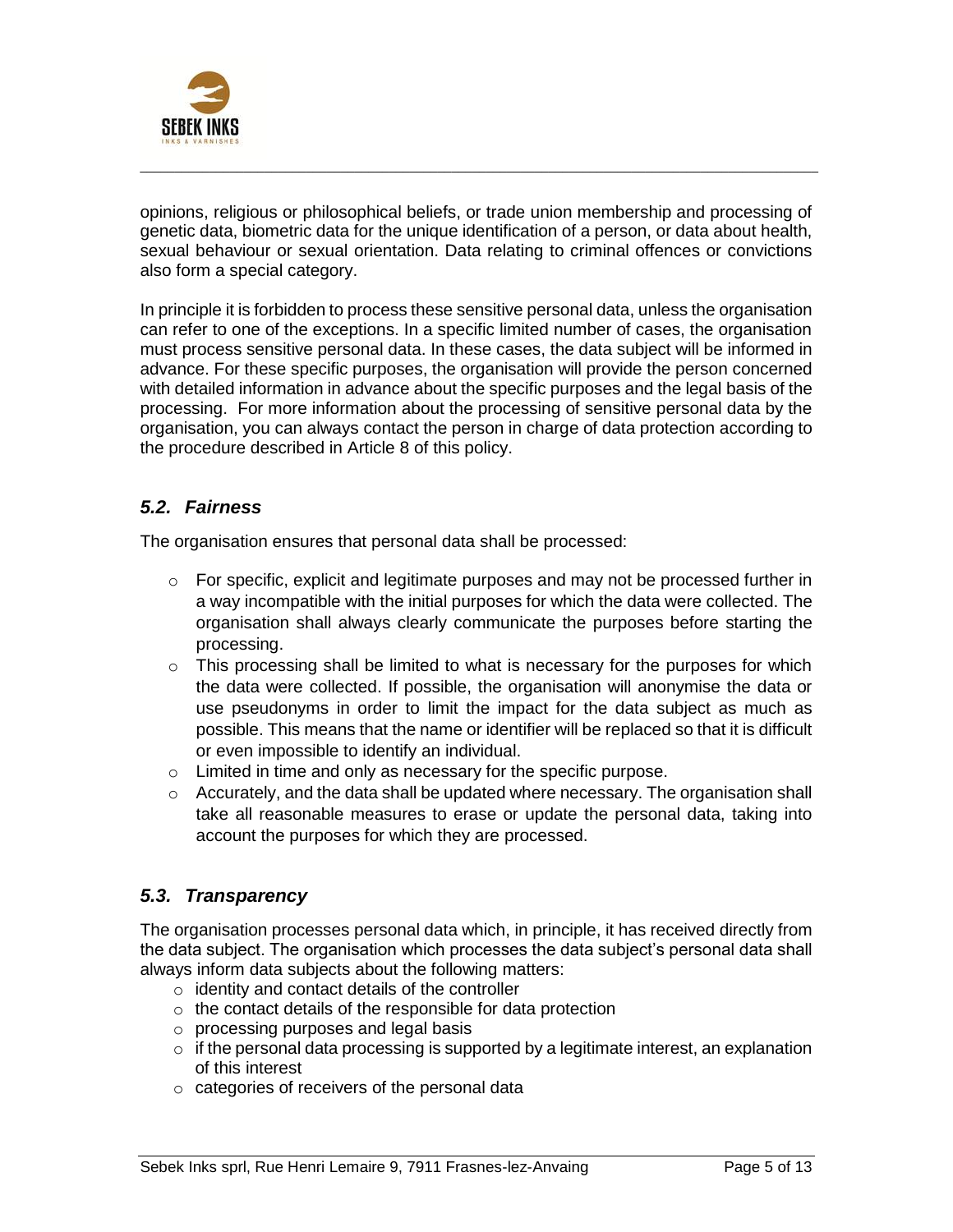

opinions, religious or philosophical beliefs, or trade union membership and processing of genetic data, biometric data for the unique identification of a person, or data about health, sexual behaviour or sexual orientation. Data relating to criminal offences or convictions also form a special category.

 $\_$  ,  $\_$  ,  $\_$  ,  $\_$  ,  $\_$  ,  $\_$  ,  $\_$  ,  $\_$  ,  $\_$  ,  $\_$  ,  $\_$  ,  $\_$  ,  $\_$  ,  $\_$  ,  $\_$  ,  $\_$  ,  $\_$  ,  $\_$  ,  $\_$  ,  $\_$  ,  $\_$  ,  $\_$  ,  $\_$  ,  $\_$  ,  $\_$  ,  $\_$  ,  $\_$  ,  $\_$  ,  $\_$  ,  $\_$  ,  $\_$  ,  $\_$  ,  $\_$  ,  $\_$  ,  $\_$  ,  $\_$  ,  $\_$  ,

In principle it is forbidden to process these sensitive personal data, unless the organisation can refer to one of the exceptions. In a specific limited number of cases, the organisation must process sensitive personal data. In these cases, the data subject will be informed in advance. For these specific purposes, the organisation will provide the person concerned with detailed information in advance about the specific purposes and the legal basis of the processing. For more information about the processing of sensitive personal data by the organisation, you can always contact the person in charge of data protection according to the procedure described in Article 8 of this policy.

### *5.2. Fairness*

The organisation ensures that personal data shall be processed:

- o For specific, explicit and legitimate purposes and may not be processed further in a way incompatible with the initial purposes for which the data were collected. The organisation shall always clearly communicate the purposes before starting the processing.
- $\circ$  This processing shall be limited to what is necessary for the purposes for which the data were collected. If possible, the organisation will anonymise the data or use pseudonyms in order to limit the impact for the data subject as much as possible. This means that the name or identifier will be replaced so that it is difficult or even impossible to identify an individual.
- o Limited in time and only as necessary for the specific purpose.
- $\circ$  Accurately, and the data shall be updated where necessary. The organisation shall take all reasonable measures to erase or update the personal data, taking into account the purposes for which they are processed.

### *5.3. Transparency*

The organisation processes personal data which, in principle, it has received directly from the data subject. The organisation which processes the data subject's personal data shall always inform data subjects about the following matters:

- $\circ$  identity and contact details of the controller
- o the contact details of the responsible for data protection
- o processing purposes and legal basis
- o if the personal data processing is supported by a legitimate interest, an explanation of this interest
- o categories of receivers of the personal data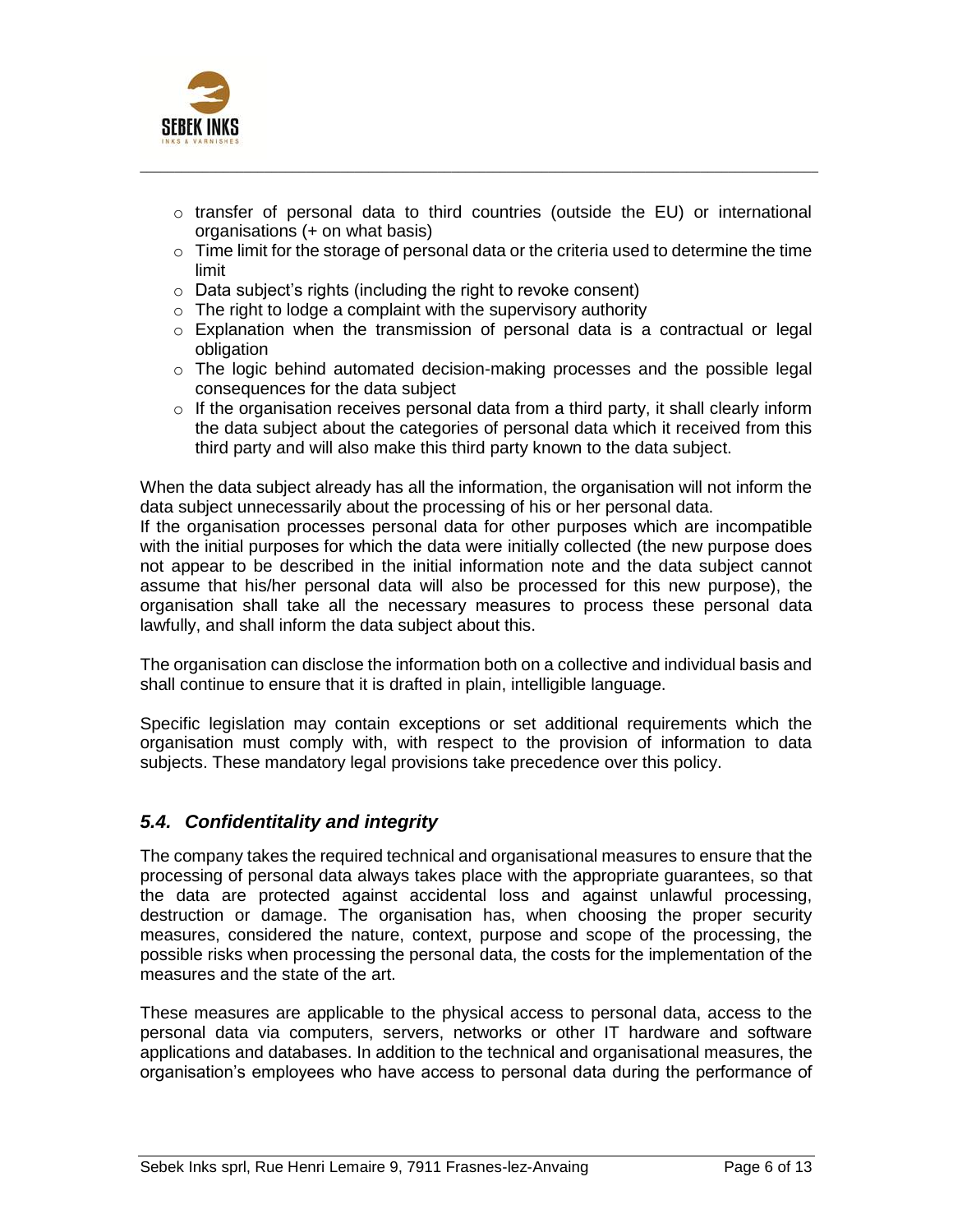

 $\circ$  transfer of personal data to third countries (outside the EU) or international organisations (+ on what basis)

 $\_$  ,  $\_$  ,  $\_$  ,  $\_$  ,  $\_$  ,  $\_$  ,  $\_$  ,  $\_$  ,  $\_$  ,  $\_$  ,  $\_$  ,  $\_$  ,  $\_$  ,  $\_$  ,  $\_$  ,  $\_$  ,  $\_$  ,  $\_$  ,  $\_$  ,  $\_$  ,  $\_$  ,  $\_$  ,  $\_$  ,  $\_$  ,  $\_$  ,  $\_$  ,  $\_$  ,  $\_$  ,  $\_$  ,  $\_$  ,  $\_$  ,  $\_$  ,  $\_$  ,  $\_$  ,  $\_$  ,  $\_$  ,  $\_$  ,

- $\circ$  Time limit for the storage of personal data or the criteria used to determine the time limit
- o Data subject's rights (including the right to revoke consent)
- $\circ$  The right to lodge a complaint with the supervisory authority
- $\circ$  Explanation when the transmission of personal data is a contractual or legal obligation
- $\circ$  The logic behind automated decision-making processes and the possible legal consequences for the data subject
- $\circ$  If the organisation receives personal data from a third party, it shall clearly inform the data subject about the categories of personal data which it received from this third party and will also make this third party known to the data subject.

When the data subject already has all the information, the organisation will not inform the data subject unnecessarily about the processing of his or her personal data.

If the organisation processes personal data for other purposes which are incompatible with the initial purposes for which the data were initially collected (the new purpose does not appear to be described in the initial information note and the data subject cannot assume that his/her personal data will also be processed for this new purpose), the organisation shall take all the necessary measures to process these personal data lawfully, and shall inform the data subject about this.

The organisation can disclose the information both on a collective and individual basis and shall continue to ensure that it is drafted in plain, intelligible language.

Specific legislation may contain exceptions or set additional requirements which the organisation must comply with, with respect to the provision of information to data subjects. These mandatory legal provisions take precedence over this policy.

### *5.4. Confidentitality and integrity*

The company takes the required technical and organisational measures to ensure that the processing of personal data always takes place with the appropriate guarantees, so that the data are protected against accidental loss and against unlawful processing, destruction or damage. The organisation has, when choosing the proper security measures, considered the nature, context, purpose and scope of the processing, the possible risks when processing the personal data, the costs for the implementation of the measures and the state of the art.

These measures are applicable to the physical access to personal data, access to the personal data via computers, servers, networks or other IT hardware and software applications and databases. In addition to the technical and organisational measures, the organisation's employees who have access to personal data during the performance of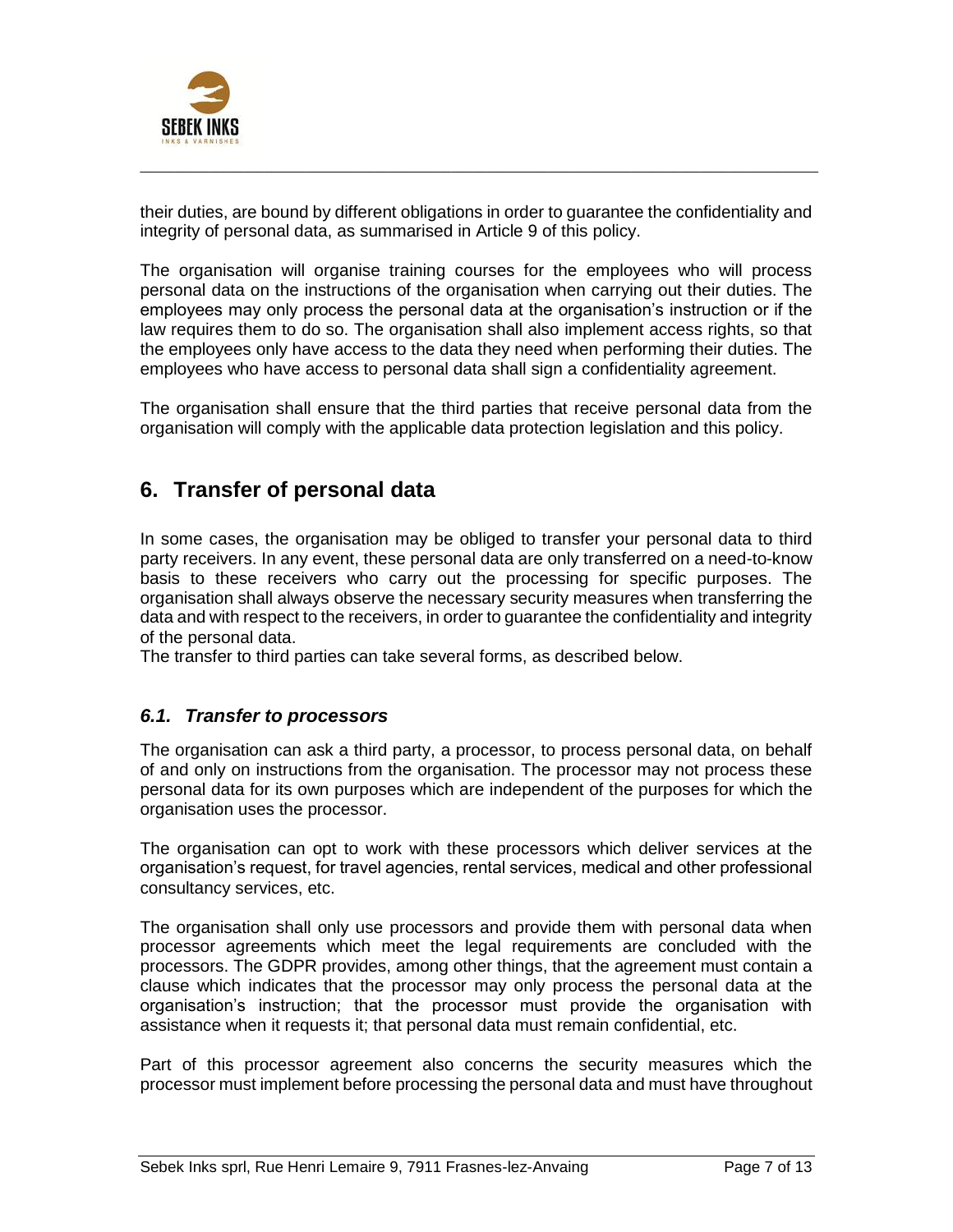

their duties, are bound by different obligations in order to guarantee the confidentiality and integrity of personal data, as summarised in Article 9 of this policy.

 $\_$  ,  $\_$  ,  $\_$  ,  $\_$  ,  $\_$  ,  $\_$  ,  $\_$  ,  $\_$  ,  $\_$  ,  $\_$  ,  $\_$  ,  $\_$  ,  $\_$  ,  $\_$  ,  $\_$  ,  $\_$  ,  $\_$  ,  $\_$  ,  $\_$  ,  $\_$  ,  $\_$  ,  $\_$  ,  $\_$  ,  $\_$  ,  $\_$  ,  $\_$  ,  $\_$  ,  $\_$  ,  $\_$  ,  $\_$  ,  $\_$  ,  $\_$  ,  $\_$  ,  $\_$  ,  $\_$  ,  $\_$  ,  $\_$  ,

The organisation will organise training courses for the employees who will process personal data on the instructions of the organisation when carrying out their duties. The employees may only process the personal data at the organisation's instruction or if the law requires them to do so. The organisation shall also implement access rights, so that the employees only have access to the data they need when performing their duties. The employees who have access to personal data shall sign a confidentiality agreement.

The organisation shall ensure that the third parties that receive personal data from the organisation will comply with the applicable data protection legislation and this policy.

## **6. Transfer of personal data**

In some cases, the organisation may be obliged to transfer your personal data to third party receivers. In any event, these personal data are only transferred on a need-to-know basis to these receivers who carry out the processing for specific purposes. The organisation shall always observe the necessary security measures when transferring the data and with respect to the receivers, in order to guarantee the confidentiality and integrity of the personal data.

The transfer to third parties can take several forms, as described below.

### *6.1. Transfer to processors*

The organisation can ask a third party, a processor, to process personal data, on behalf of and only on instructions from the organisation. The processor may not process these personal data for its own purposes which are independent of the purposes for which the organisation uses the processor.

The organisation can opt to work with these processors which deliver services at the organisation's request, for travel agencies, rental services, medical and other professional consultancy services, etc.

The organisation shall only use processors and provide them with personal data when processor agreements which meet the legal requirements are concluded with the processors. The GDPR provides, among other things, that the agreement must contain a clause which indicates that the processor may only process the personal data at the organisation's instruction; that the processor must provide the organisation with assistance when it requests it; that personal data must remain confidential, etc.

Part of this processor agreement also concerns the security measures which the processor must implement before processing the personal data and must have throughout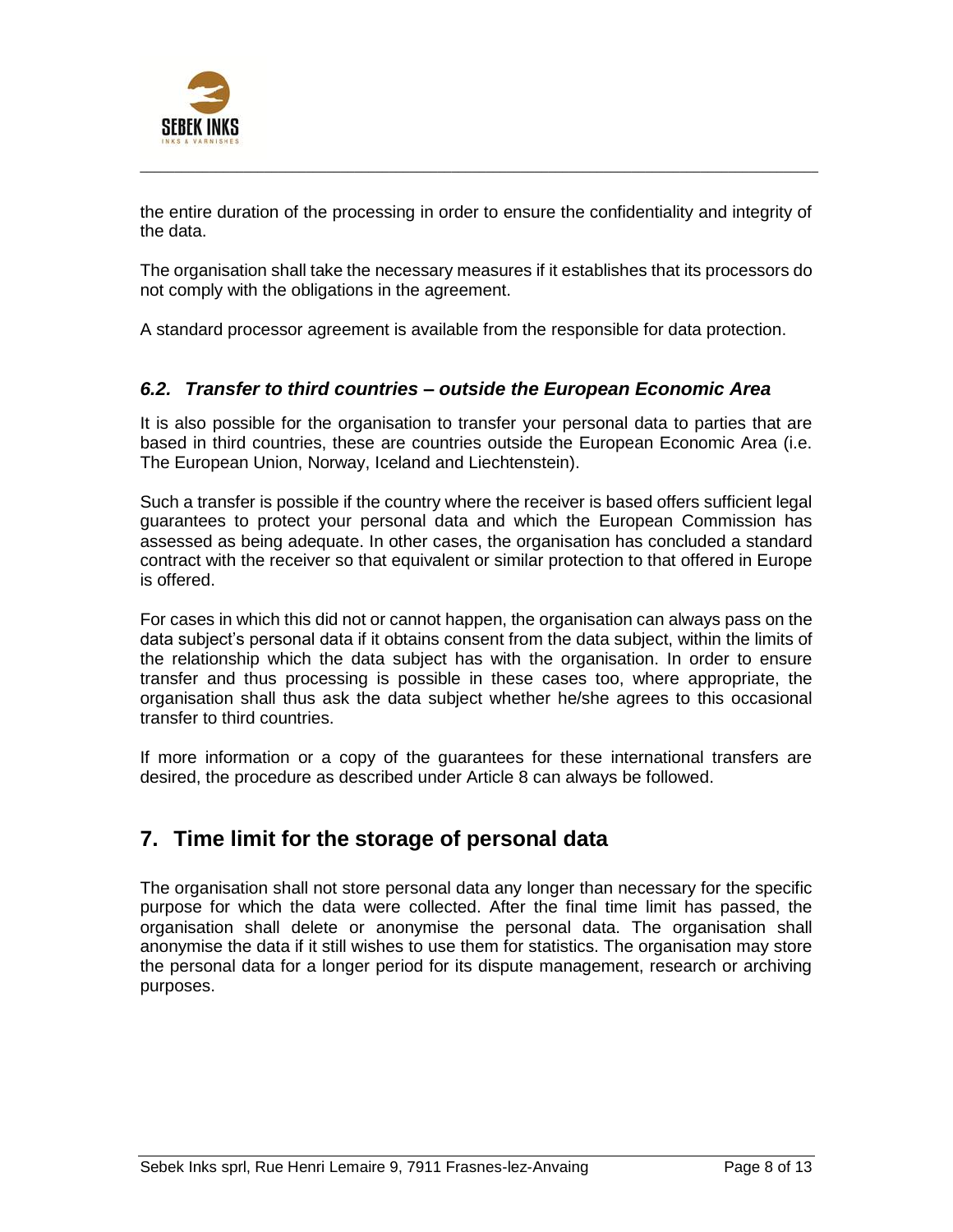

the entire duration of the processing in order to ensure the confidentiality and integrity of the data.

 $\_$  ,  $\_$  ,  $\_$  ,  $\_$  ,  $\_$  ,  $\_$  ,  $\_$  ,  $\_$  ,  $\_$  ,  $\_$  ,  $\_$  ,  $\_$  ,  $\_$  ,  $\_$  ,  $\_$  ,  $\_$  ,  $\_$  ,  $\_$  ,  $\_$  ,  $\_$  ,  $\_$  ,  $\_$  ,  $\_$  ,  $\_$  ,  $\_$  ,  $\_$  ,  $\_$  ,  $\_$  ,  $\_$  ,  $\_$  ,  $\_$  ,  $\_$  ,  $\_$  ,  $\_$  ,  $\_$  ,  $\_$  ,  $\_$  ,

The organisation shall take the necessary measures if it establishes that its processors do not comply with the obligations in the agreement.

A standard processor agreement is available from the responsible for data protection.

#### *6.2. Transfer to third countries – outside the European Economic Area*

It is also possible for the organisation to transfer your personal data to parties that are based in third countries, these are countries outside the European Economic Area (i.e. The European Union, Norway, Iceland and Liechtenstein).

Such a transfer is possible if the country where the receiver is based offers sufficient legal guarantees to protect your personal data and which the European Commission has assessed as being adequate. In other cases, the organisation has concluded a standard contract with the receiver so that equivalent or similar protection to that offered in Europe is offered.

For cases in which this did not or cannot happen, the organisation can always pass on the data subject's personal data if it obtains consent from the data subject, within the limits of the relationship which the data subject has with the organisation. In order to ensure transfer and thus processing is possible in these cases too, where appropriate, the organisation shall thus ask the data subject whether he/she agrees to this occasional transfer to third countries.

If more information or a copy of the guarantees for these international transfers are desired, the procedure as described under Article 8 can always be followed.

### **7. Time limit for the storage of personal data**

The organisation shall not store personal data any longer than necessary for the specific purpose for which the data were collected. After the final time limit has passed, the organisation shall delete or anonymise the personal data. The organisation shall anonymise the data if it still wishes to use them for statistics. The organisation may store the personal data for a longer period for its dispute management, research or archiving purposes.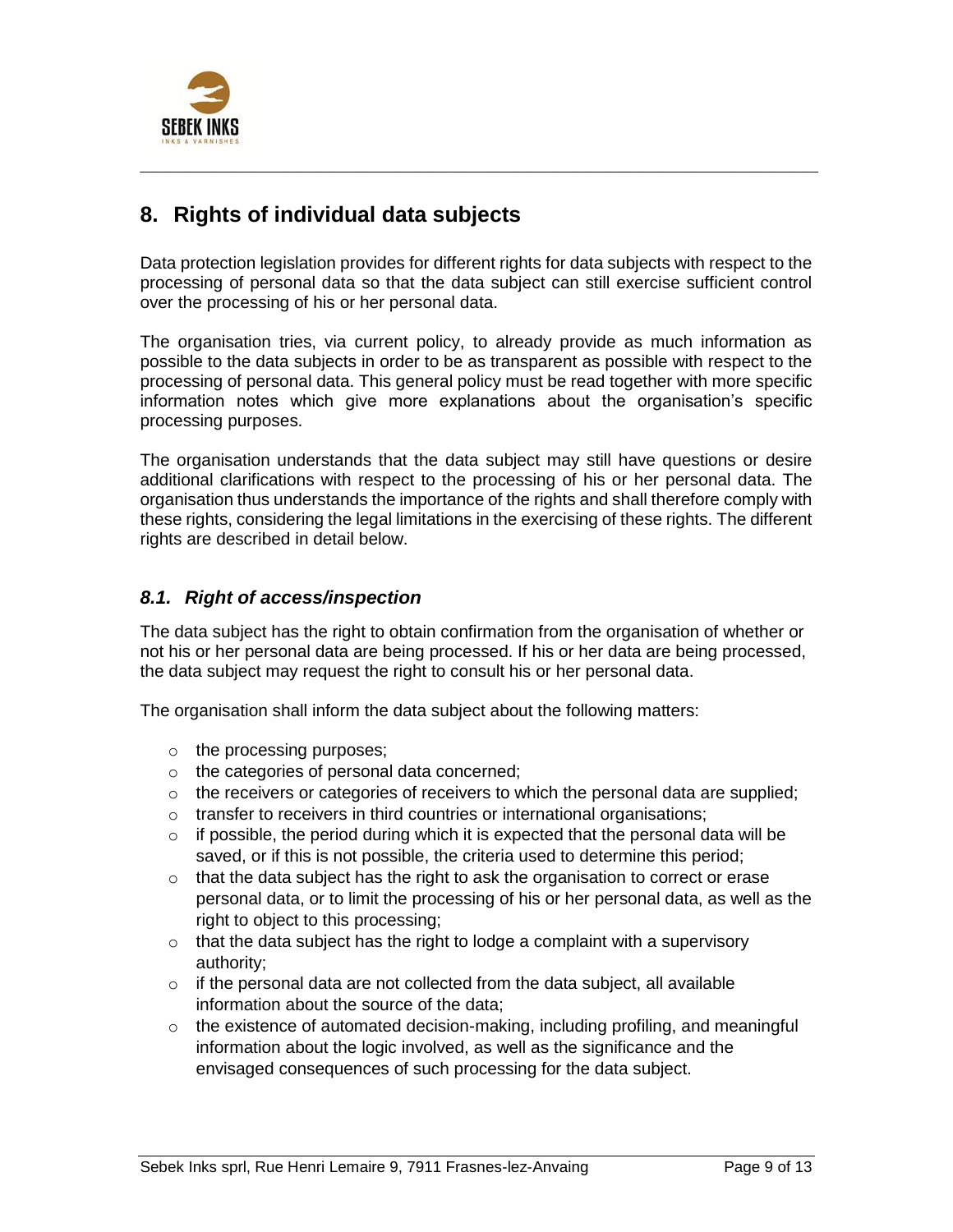

## **8. Rights of individual data subjects**

Data protection legislation provides for different rights for data subjects with respect to the processing of personal data so that the data subject can still exercise sufficient control over the processing of his or her personal data.

 $\_$  ,  $\_$  ,  $\_$  ,  $\_$  ,  $\_$  ,  $\_$  ,  $\_$  ,  $\_$  ,  $\_$  ,  $\_$  ,  $\_$  ,  $\_$  ,  $\_$  ,  $\_$  ,  $\_$  ,  $\_$  ,  $\_$  ,  $\_$  ,  $\_$  ,  $\_$  ,  $\_$  ,  $\_$  ,  $\_$  ,  $\_$  ,  $\_$  ,  $\_$  ,  $\_$  ,  $\_$  ,  $\_$  ,  $\_$  ,  $\_$  ,  $\_$  ,  $\_$  ,  $\_$  ,  $\_$  ,  $\_$  ,  $\_$  ,

The organisation tries, via current policy, to already provide as much information as possible to the data subjects in order to be as transparent as possible with respect to the processing of personal data. This general policy must be read together with more specific information notes which give more explanations about the organisation's specific processing purposes.

The organisation understands that the data subject may still have questions or desire additional clarifications with respect to the processing of his or her personal data. The organisation thus understands the importance of the rights and shall therefore comply with these rights, considering the legal limitations in the exercising of these rights. The different rights are described in detail below.

### *8.1. Right of access/inspection*

The data subject has the right to obtain confirmation from the organisation of whether or not his or her personal data are being processed. If his or her data are being processed, the data subject may request the right to consult his or her personal data.

The organisation shall inform the data subject about the following matters:

- o the processing purposes;
- o the categories of personal data concerned;
- $\circ$  the receivers or categories of receivers to which the personal data are supplied;
- o transfer to receivers in third countries or international organisations;
- $\circ$  if possible, the period during which it is expected that the personal data will be saved, or if this is not possible, the criteria used to determine this period;
- $\circ$  that the data subject has the right to ask the organisation to correct or erase personal data, or to limit the processing of his or her personal data, as well as the right to object to this processing;
- $\circ$  that the data subject has the right to lodge a complaint with a supervisory authority;
- $\circ$  if the personal data are not collected from the data subject, all available information about the source of the data;
- o the existence of automated decision-making, including profiling, and meaningful information about the logic involved, as well as the significance and the envisaged consequences of such processing for the data subject.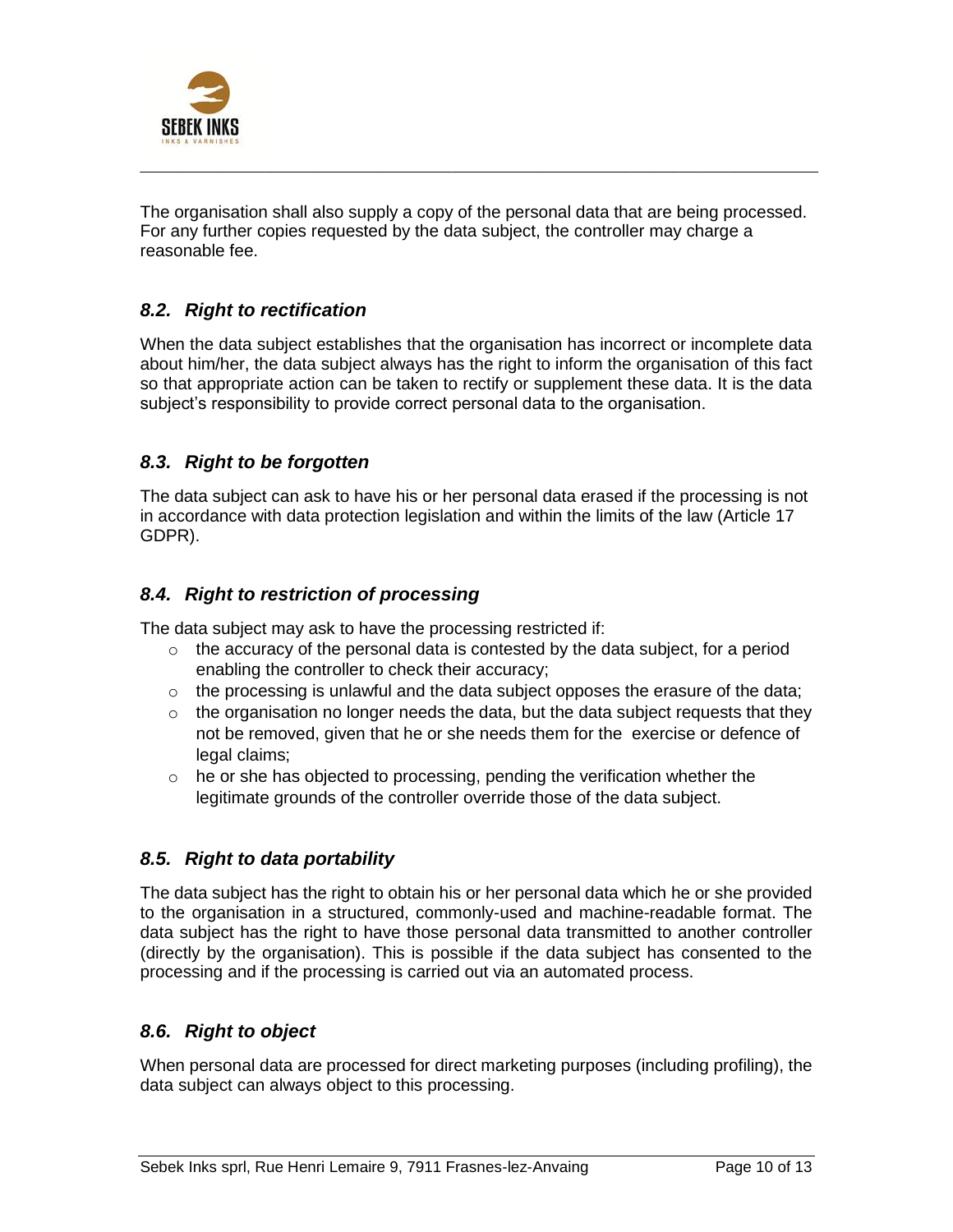

The organisation shall also supply a copy of the personal data that are being processed. For any further copies requested by the data subject, the controller may charge a reasonable fee.

 $\_$  ,  $\_$  ,  $\_$  ,  $\_$  ,  $\_$  ,  $\_$  ,  $\_$  ,  $\_$  ,  $\_$  ,  $\_$  ,  $\_$  ,  $\_$  ,  $\_$  ,  $\_$  ,  $\_$  ,  $\_$  ,  $\_$  ,  $\_$  ,  $\_$  ,  $\_$  ,  $\_$  ,  $\_$  ,  $\_$  ,  $\_$  ,  $\_$  ,  $\_$  ,  $\_$  ,  $\_$  ,  $\_$  ,  $\_$  ,  $\_$  ,  $\_$  ,  $\_$  ,  $\_$  ,  $\_$  ,  $\_$  ,  $\_$  ,

### *8.2. Right to rectification*

When the data subject establishes that the organisation has incorrect or incomplete data about him/her, the data subject always has the right to inform the organisation of this fact so that appropriate action can be taken to rectify or supplement these data. It is the data subject's responsibility to provide correct personal data to the organisation.

### *8.3. Right to be forgotten*

The data subject can ask to have his or her personal data erased if the processing is not in accordance with data protection legislation and within the limits of the law (Article 17 GDPR).

### *8.4. Right to restriction of processing*

The data subject may ask to have the processing restricted if:

- $\circ$  the accuracy of the personal data is contested by the data subject, for a period enabling the controller to check their accuracy;
- $\circ$  the processing is unlawful and the data subject opposes the erasure of the data;
- $\circ$  the organisation no longer needs the data, but the data subject requests that they not be removed, given that he or she needs them for the exercise or defence of legal claims;
- $\circ$  he or she has objected to processing, pending the verification whether the legitimate grounds of the controller override those of the data subject.

### *8.5. Right to data portability*

The data subject has the right to obtain his or her personal data which he or she provided to the organisation in a structured, commonly-used and machine-readable format. The data subject has the right to have those personal data transmitted to another controller (directly by the organisation). This is possible if the data subject has consented to the processing and if the processing is carried out via an automated process.

### *8.6. Right to object*

When personal data are processed for direct marketing purposes (including profiling), the data subject can always object to this processing.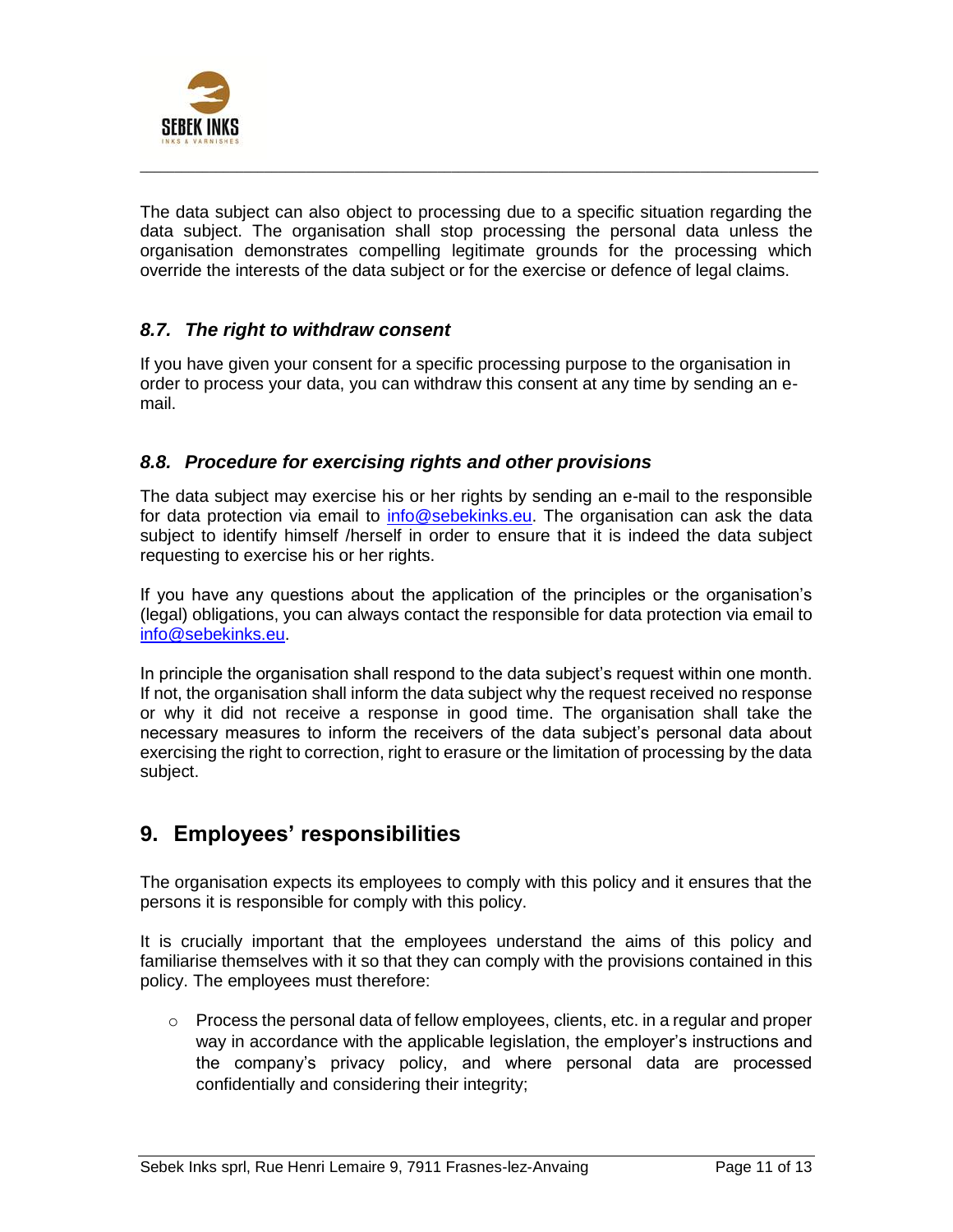

The data subject can also object to processing due to a specific situation regarding the data subject. The organisation shall stop processing the personal data unless the organisation demonstrates compelling legitimate grounds for the processing which override the interests of the data subject or for the exercise or defence of legal claims.

 $\_$  ,  $\_$  ,  $\_$  ,  $\_$  ,  $\_$  ,  $\_$  ,  $\_$  ,  $\_$  ,  $\_$  ,  $\_$  ,  $\_$  ,  $\_$  ,  $\_$  ,  $\_$  ,  $\_$  ,  $\_$  ,  $\_$  ,  $\_$  ,  $\_$  ,  $\_$  ,  $\_$  ,  $\_$  ,  $\_$  ,  $\_$  ,  $\_$  ,  $\_$  ,  $\_$  ,  $\_$  ,  $\_$  ,  $\_$  ,  $\_$  ,  $\_$  ,  $\_$  ,  $\_$  ,  $\_$  ,  $\_$  ,  $\_$  ,

### *8.7. The right to withdraw consent*

If you have given your consent for a specific processing purpose to the organisation in order to process your data, you can withdraw this consent at any time by sending an email.

### *8.8. Procedure for exercising rights and other provisions*

The data subject may exercise his or her rights by sending an e-mail to the responsible for data protection via email to info@sebekinks.eu. The organisation can ask the data subject to identify himself /herself in order to ensure that it is indeed the data subject requesting to exercise his or her rights.

If you have any questions about the application of the principles or the organisation's (legal) obligations, you can always contact the responsible for data protection via email to info@sebekinks.eu.

In principle the organisation shall respond to the data subject's request within one month. If not, the organisation shall inform the data subject why the request received no response or why it did not receive a response in good time. The organisation shall take the necessary measures to inform the receivers of the data subject's personal data about exercising the right to correction, right to erasure or the limitation of processing by the data subject.

### **9. Employees' responsibilities**

The organisation expects its employees to comply with this policy and it ensures that the persons it is responsible for comply with this policy.

It is crucially important that the employees understand the aims of this policy and familiarise themselves with it so that they can comply with the provisions contained in this policy. The employees must therefore:

 $\circ$  Process the personal data of fellow employees, clients, etc. in a regular and proper way in accordance with the applicable legislation, the employer's instructions and the company's privacy policy, and where personal data are processed confidentially and considering their integrity;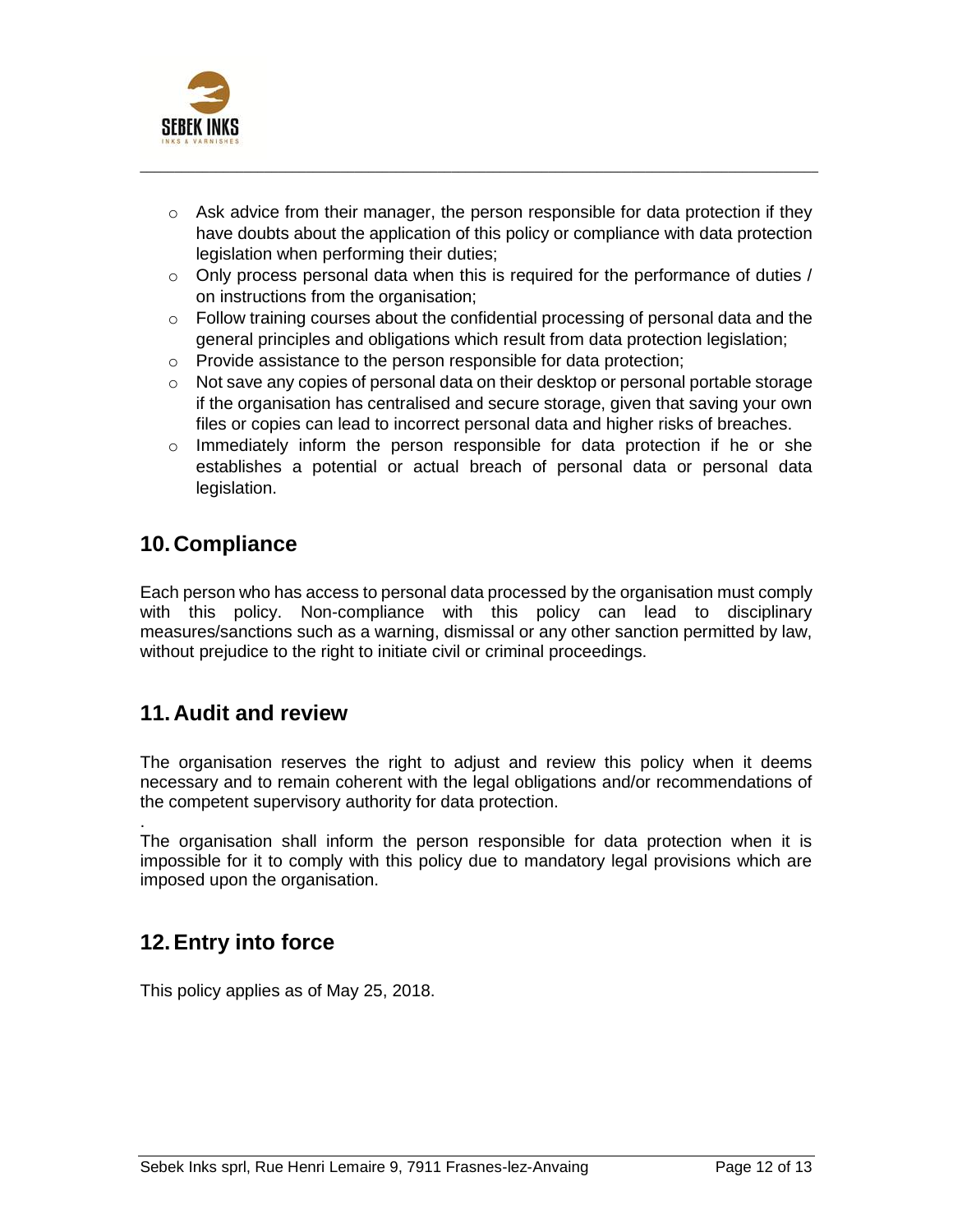

 $\circ$  Ask advice from their manager, the person responsible for data protection if they have doubts about the application of this policy or compliance with data protection legislation when performing their duties;

 $\_$  ,  $\_$  ,  $\_$  ,  $\_$  ,  $\_$  ,  $\_$  ,  $\_$  ,  $\_$  ,  $\_$  ,  $\_$  ,  $\_$  ,  $\_$  ,  $\_$  ,  $\_$  ,  $\_$  ,  $\_$  ,  $\_$  ,  $\_$  ,  $\_$  ,  $\_$  ,  $\_$  ,  $\_$  ,  $\_$  ,  $\_$  ,  $\_$  ,  $\_$  ,  $\_$  ,  $\_$  ,  $\_$  ,  $\_$  ,  $\_$  ,  $\_$  ,  $\_$  ,  $\_$  ,  $\_$  ,  $\_$  ,  $\_$  ,

- $\circ$  Only process personal data when this is required for the performance of duties / on instructions from the organisation;
- $\circ$  Follow training courses about the confidential processing of personal data and the general principles and obligations which result from data protection legislation;
- o Provide assistance to the person responsible for data protection;
- $\circ$  Not save any copies of personal data on their desktop or personal portable storage if the organisation has centralised and secure storage, given that saving your own files or copies can lead to incorrect personal data and higher risks of breaches.
- $\circ$  Immediately inform the person responsible for data protection if he or she establishes a potential or actual breach of personal data or personal data legislation.

## **10. Compliance**

Each person who has access to personal data processed by the organisation must comply with this policy. Non-compliance with this policy can lead to disciplinary measures/sanctions such as a warning, dismissal or any other sanction permitted by law, without prejudice to the right to initiate civil or criminal proceedings.

### **11. Audit and review**

The organisation reserves the right to adjust and review this policy when it deems necessary and to remain coherent with the legal obligations and/or recommendations of the competent supervisory authority for data protection.

. The organisation shall inform the person responsible for data protection when it is impossible for it to comply with this policy due to mandatory legal provisions which are imposed upon the organisation.

## **12.Entry into force**

This policy applies as of May 25, 2018.